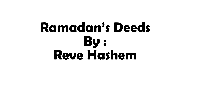## **Ramadan's Deeds By : Reve Hashem**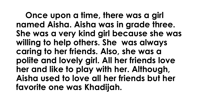**Once upon a time, there was a girl named Aisha. Aisha was in grade three. She was a very kind girl because she was willing to help others. She was always caring to her friends. Also, she was a polite and lovely girl. All her friends love her and like to play with her. Although, Aisha used to love all her friends but her favorite one was Khadijah.**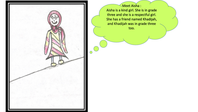

Meet Aisha : Aisha is a kind girl. She is in grade three and she is a respectful girl. She has a friend named Khadijah, and Khadijah was in grade three too.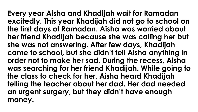**Every year Aisha and Khadijah wait for Ramadan excitedly. This year Khadijah did not go to school on the first days of Ramadan. Aisha was worried about her friend Khadijah because she was calling her but she was not answering. After few days, Khadijah came to school, but she didn't tell Aisha anything in order not to make her sad. During the recess, Aisha was searching for her friend Khadijah. While going to the class to check for her, Aisha heard Khadijah telling the teacher about her dad. Her dad needed an urgent surgery, but they didn't have enough money.**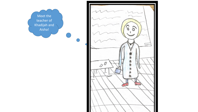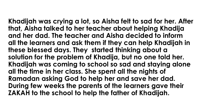**Khadijah was crying a lot, so Aisha felt to sad for her. After that, Aisha talked to her teacher about helping Khadija and her dad. The teacher and Aisha decided to inform all the learners and ask them if they can help Khadijah in these blessed days. They started thinking about a solution for the problem of Khadija, but no one told her. Khadijah was coming to school so sad and staying alone all the time in her class. She spent all the nights of Ramadan asking God to help her and save her dad. During few weeks the parents of the learners gave their ZAKAH to the school to help the father of Khadijah.**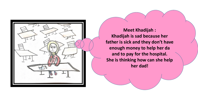

**Meet Khadijah : Khadijah is sad because her father is sick and they don't have enough money to help her da and to pay for the hospital. She is thinking how can she help her dad!**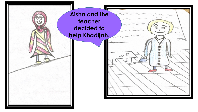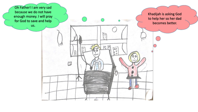